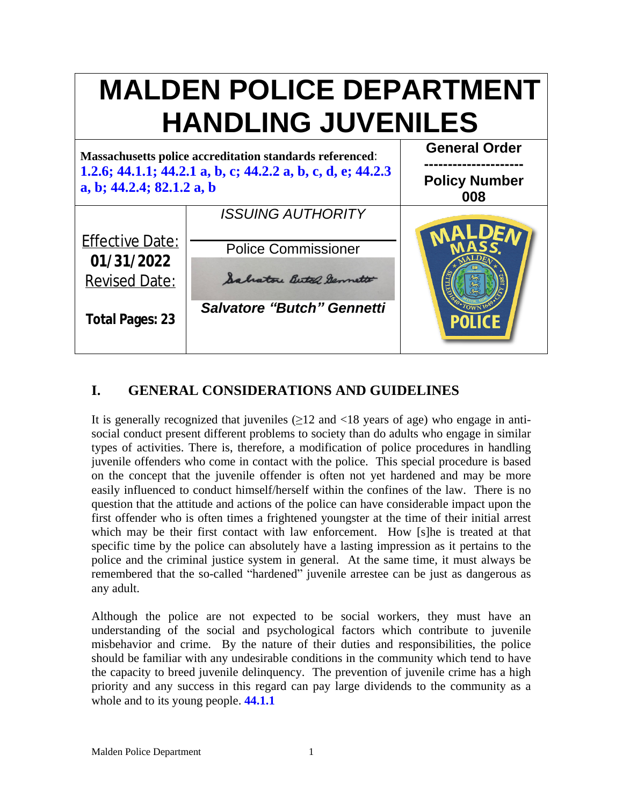

# **I. GENERAL CONSIDERATIONS AND GUIDELINES**

It is generally recognized that juveniles  $(\geq 12$  and  $\leq 18$  years of age) who engage in antisocial conduct present different problems to society than do adults who engage in similar types of activities. There is, therefore, a modification of police procedures in handling juvenile offenders who come in contact with the police. This special procedure is based on the concept that the juvenile offender is often not yet hardened and may be more easily influenced to conduct himself/herself within the confines of the law. There is no question that the attitude and actions of the police can have considerable impact upon the first offender who is often times a frightened youngster at the time of their initial arrest which may be their first contact with law enforcement. How [s]he is treated at that specific time by the police can absolutely have a lasting impression as it pertains to the police and the criminal justice system in general. At the same time, it must always be remembered that the so-called "hardened" juvenile arrestee can be just as dangerous as any adult.

Although the police are not expected to be social workers, they must have an understanding of the social and psychological factors which contribute to juvenile misbehavior and crime. By the nature of their duties and responsibilities, the police should be familiar with any undesirable conditions in the community which tend to have the capacity to breed juvenile delinquency. The prevention of juvenile crime has a high priority and any success in this regard can pay large dividends to the community as a whole and to its young people. **44.1.1**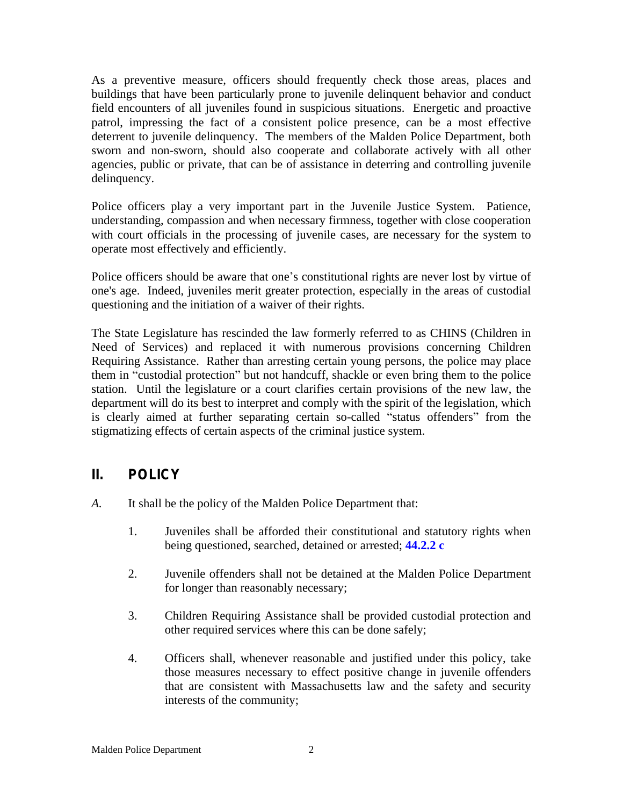As a preventive measure, officers should frequently check those areas, places and buildings that have been particularly prone to juvenile delinquent behavior and conduct field encounters of all juveniles found in suspicious situations. Energetic and proactive patrol, impressing the fact of a consistent police presence, can be a most effective deterrent to juvenile delinquency. The members of the Malden Police Department, both sworn and non-sworn, should also cooperate and collaborate actively with all other agencies, public or private, that can be of assistance in deterring and controlling juvenile delinquency.

Police officers play a very important part in the Juvenile Justice System. Patience, understanding, compassion and when necessary firmness, together with close cooperation with court officials in the processing of juvenile cases, are necessary for the system to operate most effectively and efficiently.

Police officers should be aware that one's constitutional rights are never lost by virtue of one's age. Indeed, juveniles merit greater protection, especially in the areas of custodial questioning and the initiation of a waiver of their rights.

The State Legislature has rescinded the law formerly referred to as CHINS (Children in Need of Services) and replaced it with numerous provisions concerning Children Requiring Assistance. Rather than arresting certain young persons, the police may place them in "custodial protection" but not handcuff, shackle or even bring them to the police station. Until the legislature or a court clarifies certain provisions of the new law, the department will do its best to interpret and comply with the spirit of the legislation, which is clearly aimed at further separating certain so-called "status offenders" from the stigmatizing effects of certain aspects of the criminal justice system.

## **II. POLICY**

- *A.* It shall be the policy of the Malden Police Department that:
	- 1. Juveniles shall be afforded their constitutional and statutory rights when being questioned, searched, detained or arrested; **44.2.2 c**
	- 2. Juvenile offenders shall not be detained at the Malden Police Department for longer than reasonably necessary;
	- 3. Children Requiring Assistance shall be provided custodial protection and other required services where this can be done safely;
	- 4. Officers shall, whenever reasonable and justified under this policy, take those measures necessary to effect positive change in juvenile offenders that are consistent with Massachusetts law and the safety and security interests of the community;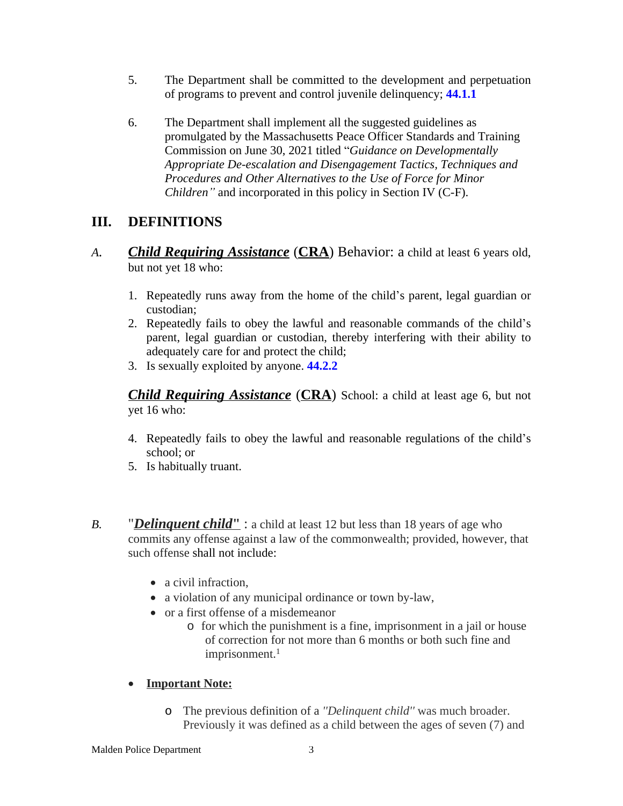- 5. The Department shall be committed to the development and perpetuation of programs to prevent and control juvenile delinquency; **44.1.1**
- 6. The Department shall implement all the suggested guidelines as promulgated by the Massachusetts Peace Officer Standards and Training Commission on June 30, 2021 titled "*Guidance on Developmentally Appropriate De-escalation and Disengagement Tactics, Techniques and Procedures and Other Alternatives to the Use of Force for Minor Children"* and incorporated in this policy in Section IV (C-F).

## **III. DEFINITIONS**

- *A. Child Requiring Assistance* (**CRA**) Behavior: a child at least 6 years old, but not yet 18 who:
	- 1. Repeatedly runs away from the home of the child's parent, legal guardian or custodian;
	- 2. Repeatedly fails to obey the lawful and reasonable commands of the child's parent, legal guardian or custodian, thereby interfering with their ability to adequately care for and protect the child;
	- 3. Is sexually exploited by anyone. **44.2.2**

*Child Requiring Assistance* (**CRA**) School: a child at least age 6, but not yet 16 who:

- 4. Repeatedly fails to obey the lawful and reasonable regulations of the child's school; or
- 5. Is habitually truant.
- *B.* "*Delinquent child***"** : a child at least 12 but less than 18 years of age who commits any offense against a law of the commonwealth; provided, however, that such offense shall not include:
	- a civil infraction.
	- a violation of any municipal ordinance or town by-law,
	- or a first offense of a misdemeanor
		- o for which the punishment is a fine, imprisonment in a jail or house of correction for not more than 6 months or both such fine and imprisonment.<sup>1</sup>

### **Important Note:**

o The previous definition of a *''Delinquent child''* was much broader. Previously it was defined as a child between the ages of seven (7) and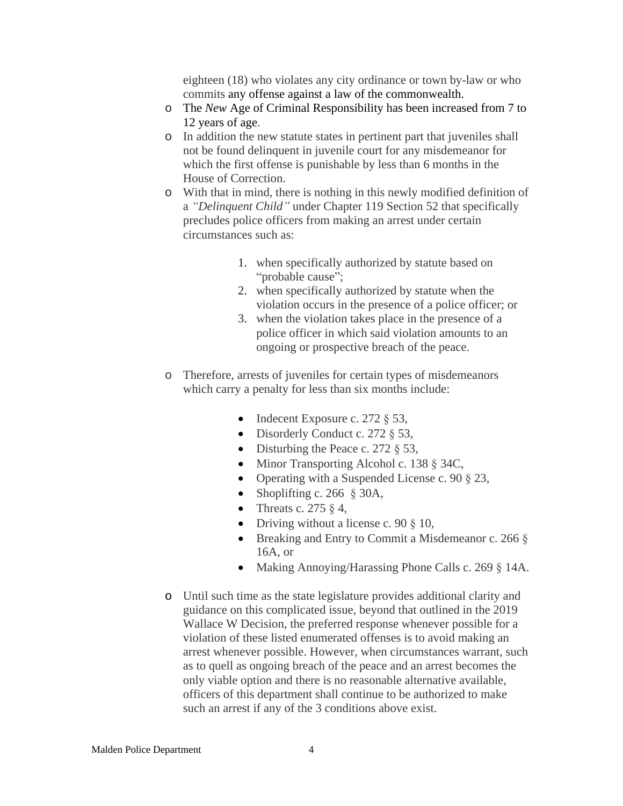eighteen (18) who violates any city ordinance or town by-law or who commits any offense against a law of the commonwealth.

- o The *New* Age of Criminal Responsibility has been increased from 7 to 12 years of age.
- o In addition the new statute states in pertinent part that juveniles shall not be found delinquent in juvenile court for any misdemeanor for which the first offense is punishable by less than 6 months in the House of Correction.
- o With that in mind, there is nothing in this newly modified definition of a *"Delinquent Child"* under Chapter 119 Section 52 that specifically precludes police officers from making an arrest under certain circumstances such as:
	- 1. when specifically authorized by statute based on "probable cause";
	- 2. when specifically authorized by statute when the violation occurs in the presence of a police officer; or
	- 3. when the violation takes place in the presence of a police officer in which said violation amounts to an ongoing or prospective breach of the peace.
- o Therefore, arrests of juveniles for certain types of misdemeanors which carry a penalty for less than six months include:
	- Indecent Exposure c. 272  $\S$  53,
	- Disorderly Conduct c. 272  $\S$  53,
	- Disturbing the Peace c. 272  $\S$  53,
	- Minor Transporting Alcohol c. 138 § 34C,
	- Operating with a Suspended License c. 90  $\S$  23,
	- Shoplifting c. 266  $§$  30A,
	- Threats c. 275  $\&$  4,
	- Driving without a license c. 90  $\S$  10,
	- Breaking and Entry to Commit a Misdemeanor c. 266  $\delta$ 16A, or
	- Making Annoying/Harassing Phone Calls c. 269 § 14A.
- o Until such time as the state legislature provides additional clarity and guidance on this complicated issue, beyond that outlined in the 2019 Wallace W Decision, the preferred response whenever possible for a violation of these listed enumerated offenses is to avoid making an arrest whenever possible. However, when circumstances warrant, such as to quell as ongoing breach of the peace and an arrest becomes the only viable option and there is no reasonable alternative available, officers of this department shall continue to be authorized to make such an arrest if any of the 3 conditions above exist.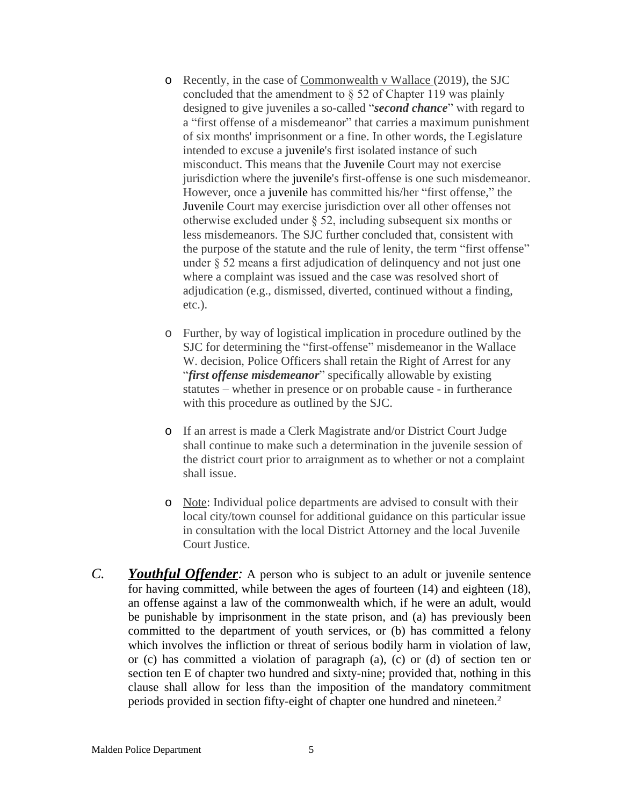- o Recently, in the case of Commonwealth v Wallace (2019), the SJC concluded that the amendment to § 52 of Chapter 119 was plainly designed to give juveniles a so-called "*second chance*" with regard to a "first offense of a misdemeanor" that carries a maximum punishment of six months' imprisonment or a fine. In other words, the Legislature intended to excuse a juvenile's first isolated instance of such misconduct. This means that the Juvenile Court may not exercise jurisdiction where the juvenile's first-offense is one such misdemeanor. However, once a juvenile has committed his/her "first offense," the Juvenile Court may exercise jurisdiction over all other offenses not otherwise excluded under § 52, including subsequent six months or less misdemeanors. The SJC further concluded that, consistent with the purpose of the statute and the rule of lenity, the term "first offense" under § 52 means a first adjudication of delinquency and not just one where a complaint was issued and the case was resolved short of adjudication (e.g., dismissed, diverted, continued without a finding, etc.).
- o Further, by way of logistical implication in procedure outlined by the SJC for determining the "first-offense" misdemeanor in the Wallace W. decision, Police Officers shall retain the Right of Arrest for any "*first offense misdemeanor*" specifically allowable by existing statutes – whether in presence or on probable cause - in furtherance with this procedure as outlined by the SJC.
- o If an arrest is made a Clerk Magistrate and/or District Court Judge shall continue to make such a determination in the juvenile session of the district court prior to arraignment as to whether or not a complaint shall issue.
- o Note: Individual police departments are advised to consult with their local city/town counsel for additional guidance on this particular issue in consultation with the local District Attorney and the local Juvenile Court Justice.
- *C. Youthful Offender:* A person who is subject to an adult or juvenile sentence for having committed, while between the ages of fourteen (14) and eighteen (18), an offense against a law of the commonwealth which, if he were an adult, would be punishable by imprisonment in the state prison, and (a) has previously been committed to the department of youth services, or (b) has committed a felony which involves the infliction or threat of serious bodily harm in violation of law, or (c) has committed a violation of paragraph (a), (c) or (d) of section ten or section ten E of chapter two hundred and sixty-nine; provided that, nothing in this clause shall allow for less than the imposition of the mandatory commitment periods provided in section fifty-eight of chapter one hundred and nineteen. 2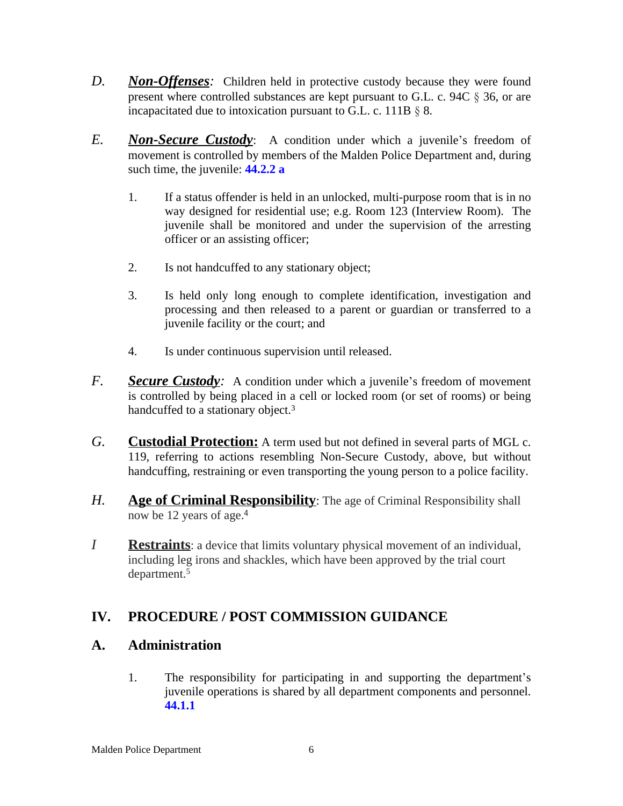- *D. Non-Offenses:* Children held in protective custody because they were found present where controlled substances are kept pursuant to G.L. c. 94C § 36, or are incapacitated due to intoxication pursuant to G.L. c. 111B § 8.
- *E. Non-Secure Custody*: A condition under which a juvenile's freedom of movement is controlled by members of the Malden Police Department and, during such time, the juvenile: **44.2.2 a**
	- 1. If a status offender is held in an unlocked, multi-purpose room that is in no way designed for residential use; e.g. Room 123 (Interview Room). The juvenile shall be monitored and under the supervision of the arresting officer or an assisting officer;
	- 2. Is not handcuffed to any stationary object;
	- 3. Is held only long enough to complete identification, investigation and processing and then released to a parent or guardian or transferred to a juvenile facility or the court; and
	- 4. Is under continuous supervision until released.
- *F.* **Secure Custody**: A condition under which a juvenile's freedom of movement is controlled by being placed in a cell or locked room (or set of rooms) or being handcuffed to a stationary object.<sup>3</sup>
- *G.* **Custodial Protection:** A term used but not defined in several parts of MGL c. 119, referring to actions resembling Non-Secure Custody, above, but without handcuffing, restraining or even transporting the young person to a police facility.
- *H.* **Age of Criminal Responsibility**: The age of Criminal Responsibility shall now be 12 years of age.<sup>4</sup>
- *I* **Restraints**: a device that limits voluntary physical movement of an individual, including leg irons and shackles, which have been approved by the trial court department.<sup>5</sup>

# **IV. PROCEDURE / POST COMMISSION GUIDANCE**

### **A. Administration**

1. The responsibility for participating in and supporting the department's juvenile operations is shared by all department components and personnel. **44.1.1**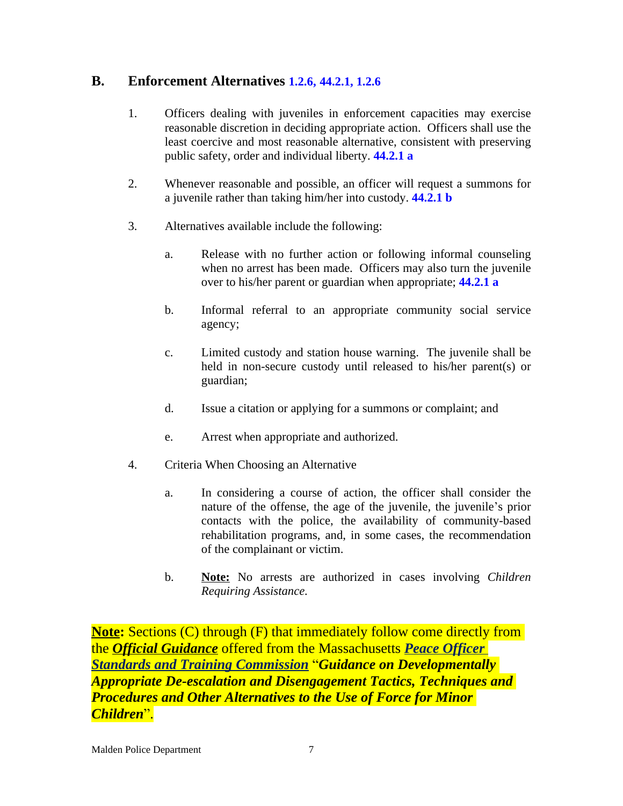### **B. Enforcement Alternatives 1.2.6, 44.2.1, 1.2.6**

- 1. Officers dealing with juveniles in enforcement capacities may exercise reasonable discretion in deciding appropriate action. Officers shall use the least coercive and most reasonable alternative, consistent with preserving public safety, order and individual liberty. **44.2.1 a**
- 2. Whenever reasonable and possible, an officer will request a summons for a juvenile rather than taking him/her into custody. **44.2.1 b**
- 3. Alternatives available include the following:
	- a. Release with no further action or following informal counseling when no arrest has been made. Officers may also turn the juvenile over to his/her parent or guardian when appropriate; **44.2.1 a**
	- b. Informal referral to an appropriate community social service agency;
	- c. Limited custody and station house warning. The juvenile shall be held in non-secure custody until released to his/her parent(s) or guardian;
	- d. Issue a citation or applying for a summons or complaint; and
	- e. Arrest when appropriate and authorized.
- 4. Criteria When Choosing an Alternative
	- a. In considering a course of action, the officer shall consider the nature of the offense, the age of the juvenile, the juvenile's prior contacts with the police, the availability of community-based rehabilitation programs, and, in some cases, the recommendation of the complainant or victim.
	- b. **Note:** No arrests are authorized in cases involving *Children Requiring Assistance.*

**Note:** Sections (C) through (F) that immediately follow come directly from the *Official Guidance* offered from the Massachusetts *Peace Officer Standards and Training Commission* "*Guidance on Developmentally Appropriate De-escalation and Disengagement Tactics, Techniques and Procedures and Other Alternatives to the Use of Force for Minor Children*".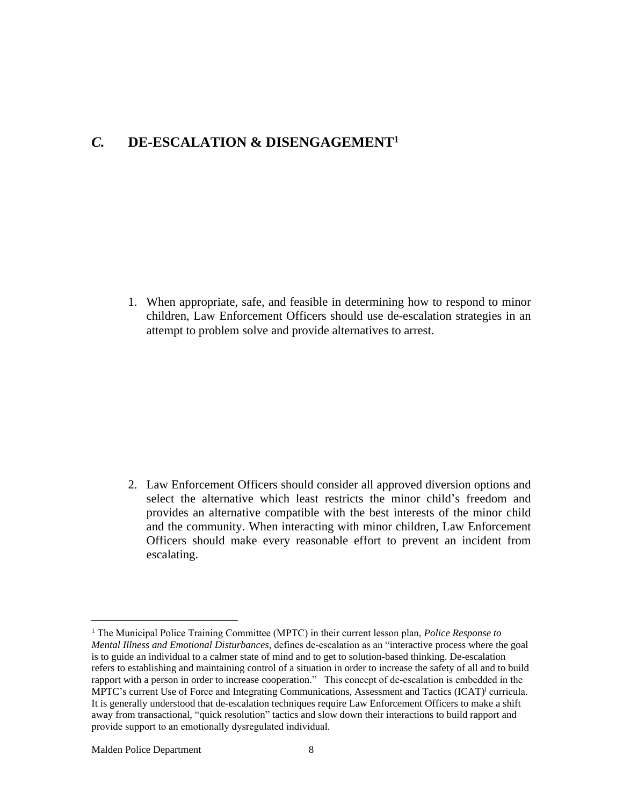### *C.* **DE-ESCALATION & DISENGAGEMENT<sup>1</sup>**

1. When appropriate, safe, and feasible in determining how to respond to minor children, Law Enforcement Officers should use de-escalation strategies in an attempt to problem solve and provide alternatives to arrest.

2. Law Enforcement Officers should consider all approved diversion options and select the alternative which least restricts the minor child's freedom and provides an alternative compatible with the best interests of the minor child and the community. When interacting with minor children, Law Enforcement Officers should make every reasonable effort to prevent an incident from escalating.

Malden Police Department 8

<sup>1</sup> The Municipal Police Training Committee (MPTC) in their current lesson plan, *Police Response to Mental Illness and Emotional Disturbances,* defines de-escalation as an "interactive process where the goal is to guide an individual to a calmer state of mind and to get to solution-based thinking. De-escalation refers to establishing and maintaining control of a situation in order to increase the safety of all and to build rapport with a person in order to increase cooperation." This concept of de-escalation is embedded in the MPTC's current Use of Force and Integrating Communications, Assessment and Tactics (ICAT)<sup>i</sup> curricula. It is generally understood that de-escalation techniques require Law Enforcement Officers to make a shift away from transactional, "quick resolution" tactics and slow down their interactions to build rapport and provide support to an emotionally dysregulated individual.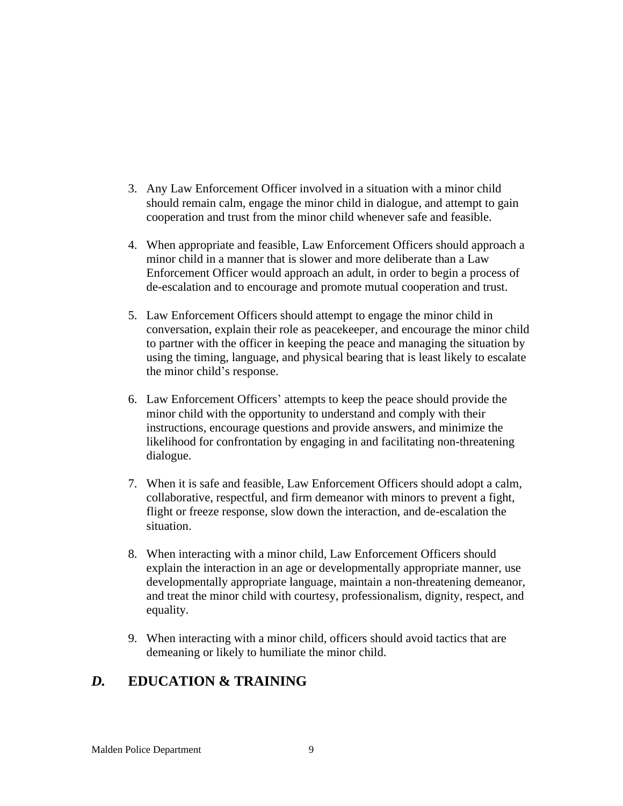- 3. Any Law Enforcement Officer involved in a situation with a minor child should remain calm, engage the minor child in dialogue, and attempt to gain cooperation and trust from the minor child whenever safe and feasible.
- 4. When appropriate and feasible, Law Enforcement Officers should approach a minor child in a manner that is slower and more deliberate than a Law Enforcement Officer would approach an adult, in order to begin a process of de-escalation and to encourage and promote mutual cooperation and trust.
- 5. Law Enforcement Officers should attempt to engage the minor child in conversation, explain their role as peacekeeper, and encourage the minor child to partner with the officer in keeping the peace and managing the situation by using the timing, language, and physical bearing that is least likely to escalate the minor child's response.
- 6. Law Enforcement Officers' attempts to keep the peace should provide the minor child with the opportunity to understand and comply with their instructions, encourage questions and provide answers, and minimize the likelihood for confrontation by engaging in and facilitating non-threatening dialogue.
- 7. When it is safe and feasible, Law Enforcement Officers should adopt a calm, collaborative, respectful, and firm demeanor with minors to prevent a fight, flight or freeze response, slow down the interaction, and de-escalation the situation.
- 8. When interacting with a minor child, Law Enforcement Officers should explain the interaction in an age or developmentally appropriate manner, use developmentally appropriate language, maintain a non-threatening demeanor, and treat the minor child with courtesy, professionalism, dignity, respect, and equality.
- 9. When interacting with a minor child, officers should avoid tactics that are demeaning or likely to humiliate the minor child.

# *D.* **EDUCATION & TRAINING**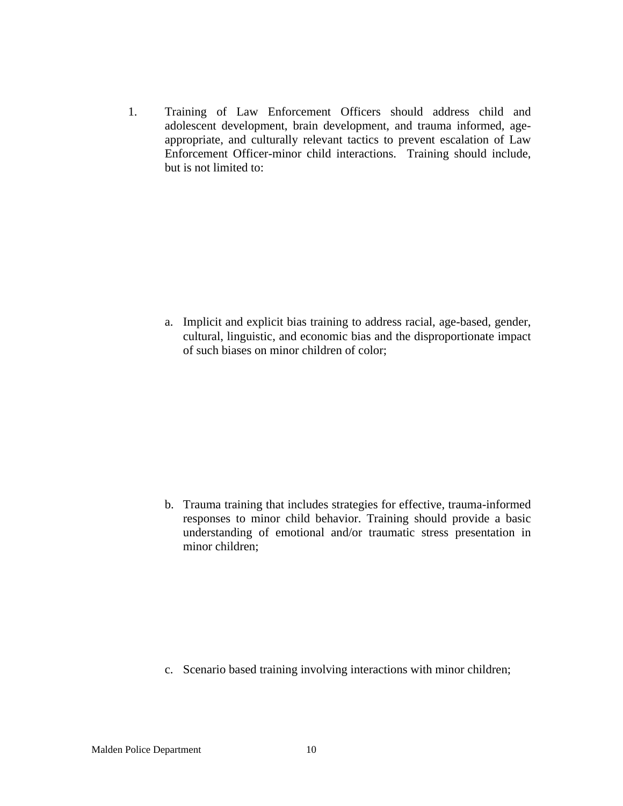1. Training of Law Enforcement Officers should address child and adolescent development, brain development, and trauma informed, ageappropriate, and culturally relevant tactics to prevent escalation of Law Enforcement Officer-minor child interactions. Training should include, but is not limited to:

a. Implicit and explicit bias training to address racial, age-based, gender, cultural, linguistic, and economic bias and the disproportionate impact of such biases on minor children of color;

b. Trauma training that includes strategies for effective, trauma-informed responses to minor child behavior. Training should provide a basic understanding of emotional and/or traumatic stress presentation in minor children;

c. Scenario based training involving interactions with minor children;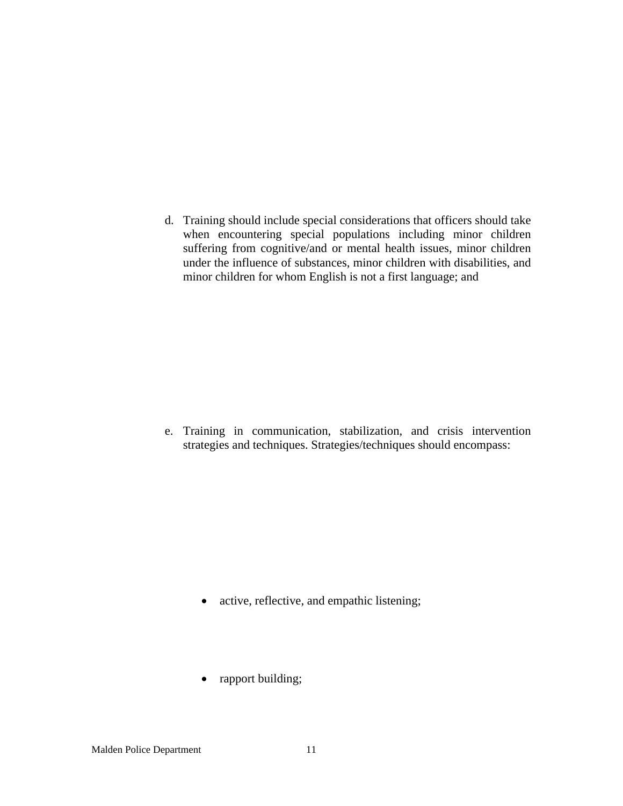d. Training should include special considerations that officers should take when encountering special populations including minor children suffering from cognitive/and or mental health issues, minor children under the influence of substances, minor children with disabilities, and minor children for whom English is not a first language; and

e. Training in communication, stabilization, and crisis intervention strategies and techniques. Strategies/techniques should encompass:

- active, reflective, and empathic listening;
- rapport building;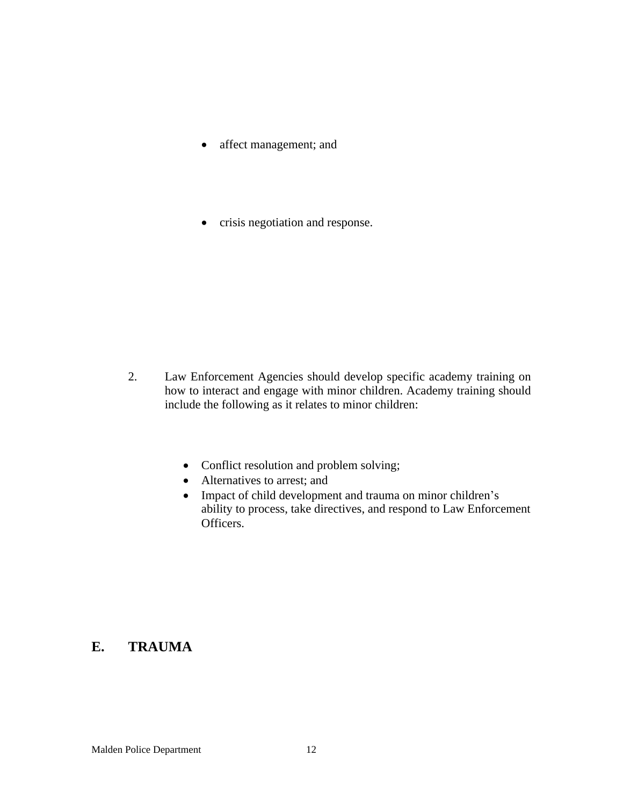- affect management; and
- crisis negotiation and response.

- 2. Law Enforcement Agencies should develop specific academy training on how to interact and engage with minor children. Academy training should include the following as it relates to minor children:
	- Conflict resolution and problem solving;
	- Alternatives to arrest; and
	- Impact of child development and trauma on minor children's ability to process, take directives, and respond to Law Enforcement Officers.

### **E. TRAUMA**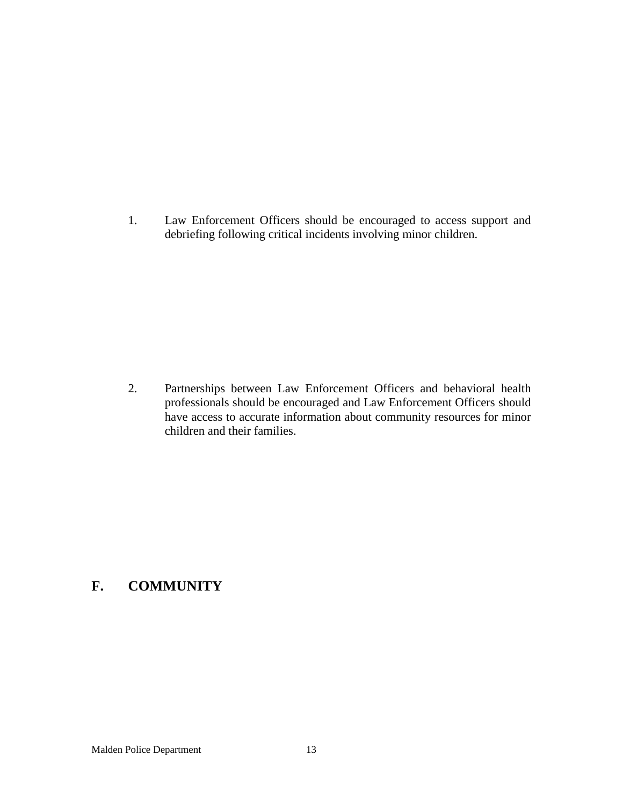1. Law Enforcement Officers should be encouraged to access support and debriefing following critical incidents involving minor children.

2. Partnerships between Law Enforcement Officers and behavioral health professionals should be encouraged and Law Enforcement Officers should have access to accurate information about community resources for minor children and their families.

# **F. COMMUNITY**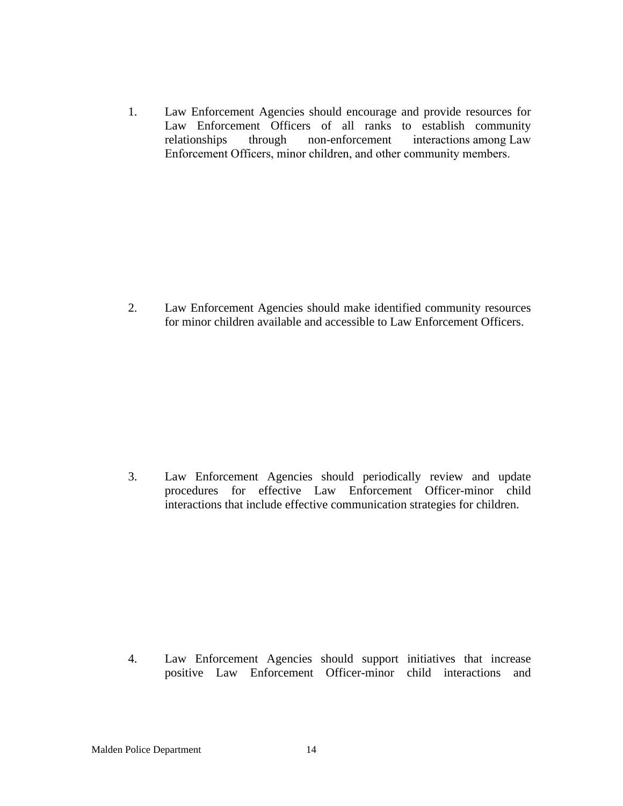1. Law Enforcement Agencies should encourage and provide resources for Law Enforcement Officers of all ranks to establish community relationships through non-enforcement interactions among Law Enforcement Officers, minor children, and other community members.

2. Law Enforcement Agencies should make identified community resources for minor children available and accessible to Law Enforcement Officers.

3. Law Enforcement Agencies should periodically review and update procedures for effective Law Enforcement Officer-minor child interactions that include effective communication strategies for children.

4. Law Enforcement Agencies should support initiatives that increase positive Law Enforcement Officer-minor child interactions and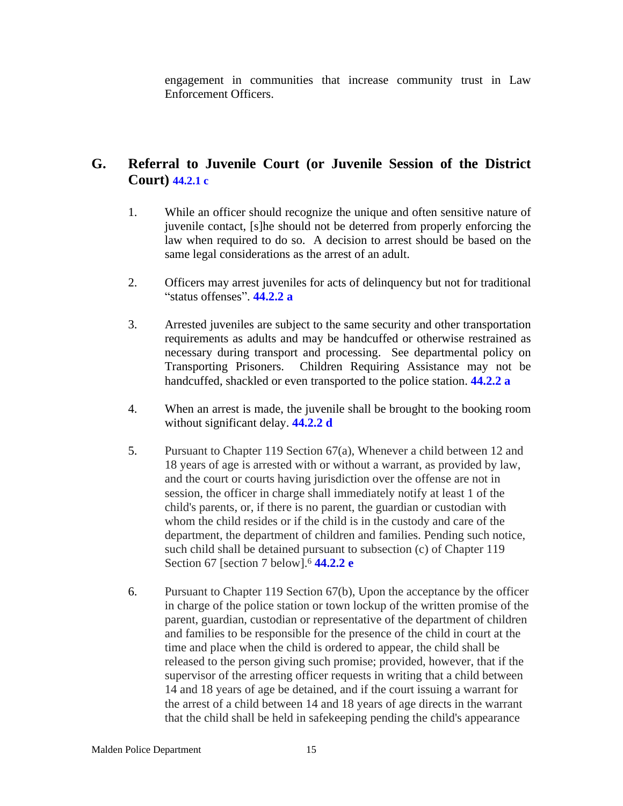engagement in communities that increase community trust in Law Enforcement Officers.

## **G. Referral to Juvenile Court (or Juvenile Session of the District Court) 44.2.1 c**

- 1. While an officer should recognize the unique and often sensitive nature of juvenile contact, [s]he should not be deterred from properly enforcing the law when required to do so. A decision to arrest should be based on the same legal considerations as the arrest of an adult.
- 2. Officers may arrest juveniles for acts of delinquency but not for traditional "status offenses". **44.2.2 a**
- 3. Arrested juveniles are subject to the same security and other transportation requirements as adults and may be handcuffed or otherwise restrained as necessary during transport and processing. See departmental policy on Transporting Prisoners. Children Requiring Assistance may not be Children Requiring Assistance may not be handcuffed, shackled or even transported to the police station. **44.2.2 a**
- 4. When an arrest is made, the juvenile shall be brought to the booking room without significant delay. **44.2.2 d**
- 5. Pursuant to Chapter 119 Section 67(a), Whenever a child between 12 and 18 years of age is arrested with or without a warrant, as provided by law, and the court or courts having jurisdiction over the offense are not in session, the officer in charge shall immediately notify at least 1 of the child's parents, or, if there is no parent, the guardian or custodian with whom the child resides or if the child is in the custody and care of the department, the department of children and families. Pending such notice, such child shall be detained pursuant to subsection (c) of Chapter 119 Section 67 [section 7 below].<sup>6</sup> **44.2.2 e**
- 6. Pursuant to Chapter 119 Section 67(b), Upon the acceptance by the officer in charge of the police station or town lockup of the written promise of the parent, guardian, custodian or representative of the department of children and families to be responsible for the presence of the child in court at the time and place when the child is ordered to appear, the child shall be released to the person giving such promise; provided, however, that if the supervisor of the arresting officer requests in writing that a child between 14 and 18 years of age be detained, and if the court issuing a warrant for the arrest of a child between 14 and 18 years of age directs in the warrant that the child shall be held in safekeeping pending the child's appearance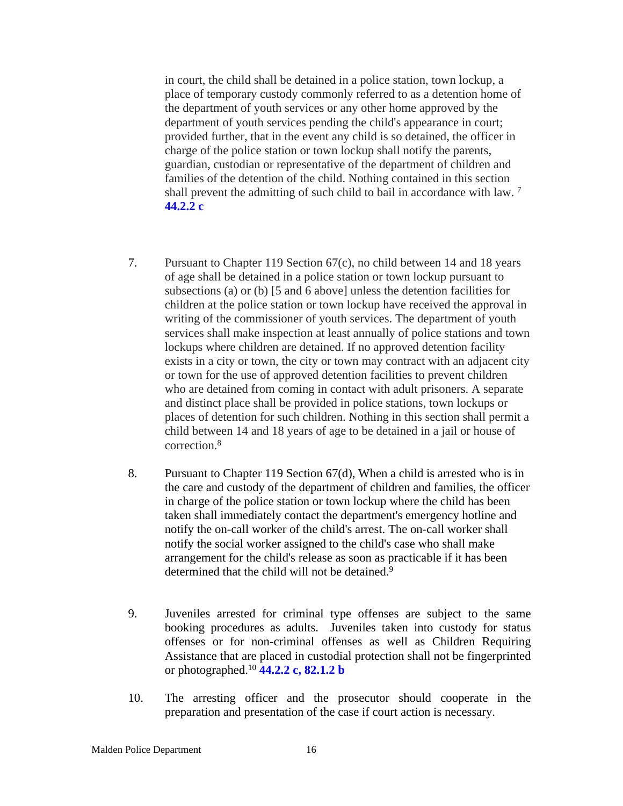in court, the child shall be detained in a police station, town lockup, a place of temporary custody commonly referred to as a detention home of the department of youth services or any other home approved by the department of youth services pending the child's appearance in court; provided further, that in the event any child is so detained, the officer in charge of the police station or town lockup shall notify the parents, guardian, custodian or representative of the department of children and families of the detention of the child. Nothing contained in this section shall prevent the admitting of such child to bail in accordance with law.<sup>7</sup> **44.2.2 c**

- 7. Pursuant to Chapter 119 Section 67(c), no child between 14 and 18 years of age shall be detained in a police station or town lockup pursuant to subsections (a) or (b) [5 and 6 above] unless the detention facilities for children at the police station or town lockup have received the approval in writing of the commissioner of youth services. The department of youth services shall make inspection at least annually of police stations and town lockups where children are detained. If no approved detention facility exists in a city or town, the city or town may contract with an adjacent city or town for the use of approved detention facilities to prevent children who are detained from coming in contact with adult prisoners. A separate and distinct place shall be provided in police stations, town lockups or places of detention for such children. Nothing in this section shall permit a child between 14 and 18 years of age to be detained in a jail or house of correction.<sup>8</sup>
- 8. Pursuant to Chapter 119 Section 67(d), When a child is arrested who is in the care and custody of the department of children and families, the officer in charge of the police station or town lockup where the child has been taken shall immediately contact the department's emergency hotline and notify the on-call worker of the child's arrest. The on-call worker shall notify the social worker assigned to the child's case who shall make arrangement for the child's release as soon as practicable if it has been determined that the child will not be detained.<sup>9</sup>
- 9. Juveniles arrested for criminal type offenses are subject to the same booking procedures as adults. Juveniles taken into custody for status offenses or for non-criminal offenses as well as Children Requiring Assistance that are placed in custodial protection shall not be fingerprinted or photographed.<sup>10</sup> **44.2.2 c, 82.1.2 b**
- 10. The arresting officer and the prosecutor should cooperate in the preparation and presentation of the case if court action is necessary.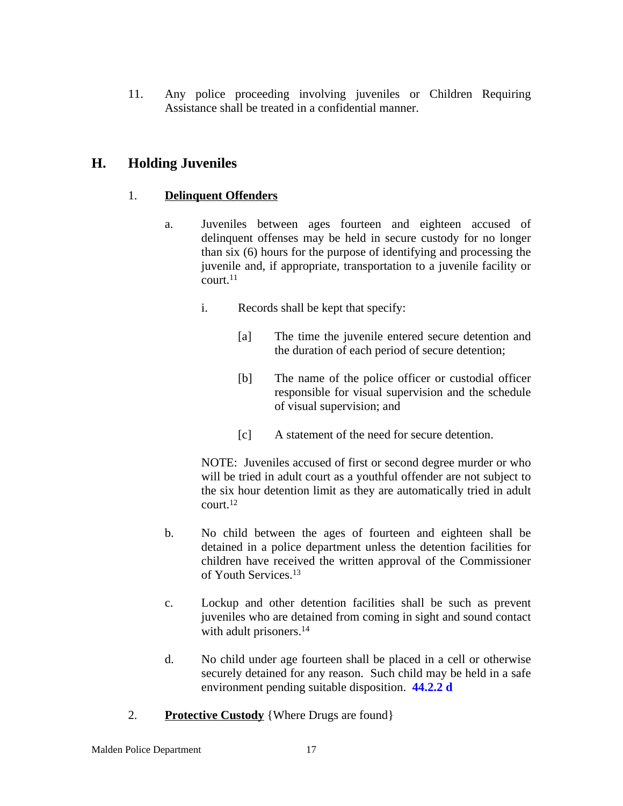11. Any police proceeding involving juveniles or Children Requiring Assistance shall be treated in a confidential manner.

### **H. Holding Juveniles**

### 1. **Delinquent Offenders**

- a. Juveniles between ages fourteen and eighteen accused of delinquent offenses may be held in secure custody for no longer than six (6) hours for the purpose of identifying and processing the juvenile and, if appropriate, transportation to a juvenile facility or court.<sup>11</sup>
	- i. Records shall be kept that specify:
		- [a] The time the juvenile entered secure detention and the duration of each period of secure detention;
		- [b] The name of the police officer or custodial officer responsible for visual supervision and the schedule of visual supervision; and
		- [c] A statement of the need for secure detention.

NOTE: Juveniles accused of first or second degree murder or who will be tried in adult court as a youthful offender are not subject to the six hour detention limit as they are automatically tried in adult court.<sup>12</sup>

- b. No child between the ages of fourteen and eighteen shall be detained in a police department unless the detention facilities for children have received the written approval of the Commissioner of Youth Services.<sup>13</sup>
- c. Lockup and other detention facilities shall be such as prevent juveniles who are detained from coming in sight and sound contact with adult prisoners.<sup>14</sup>
- d. No child under age fourteen shall be placed in a cell or otherwise securely detained for any reason. Such child may be held in a safe environment pending suitable disposition. **44.2.2 d**
- 2. **Protective Custody** {Where Drugs are found}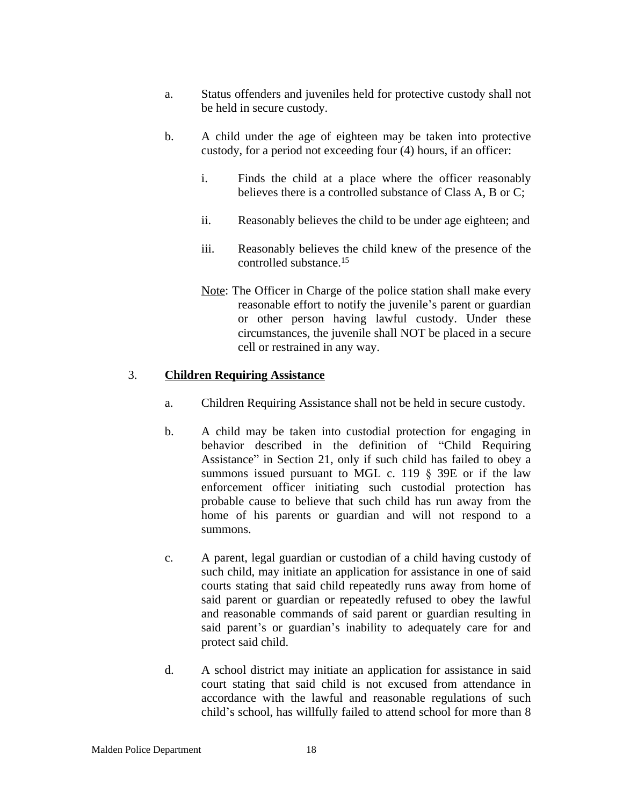- a. Status offenders and juveniles held for protective custody shall not be held in secure custody.
- b. A child under the age of eighteen may be taken into protective custody, for a period not exceeding four (4) hours, if an officer:
	- i. Finds the child at a place where the officer reasonably believes there is a controlled substance of Class A, B or C;
	- ii. Reasonably believes the child to be under age eighteen; and
	- iii. Reasonably believes the child knew of the presence of the controlled substance.<sup>15</sup>
	- Note: The Officer in Charge of the police station shall make every reasonable effort to notify the juvenile's parent or guardian or other person having lawful custody. Under these circumstances, the juvenile shall NOT be placed in a secure cell or restrained in any way.

#### 3. **Children Requiring Assistance**

- a. Children Requiring Assistance shall not be held in secure custody.
- b. A child may be taken into custodial protection for engaging in behavior described in the definition of "Child Requiring Assistance" in Section 21, only if such child has failed to obey a summons issued pursuant to MGL c. 119  $\S$  39E or if the law enforcement officer initiating such custodial protection has probable cause to believe that such child has run away from the home of his parents or guardian and will not respond to a summons.
- c. A parent, legal guardian or custodian of a child having custody of such child, may initiate an application for assistance in one of said courts stating that said child repeatedly runs away from home of said parent or guardian or repeatedly refused to obey the lawful and reasonable commands of said parent or guardian resulting in said parent's or guardian's inability to adequately care for and protect said child.
- d. A school district may initiate an application for assistance in said court stating that said child is not excused from attendance in accordance with the lawful and reasonable regulations of such child's school, has willfully failed to attend school for more than 8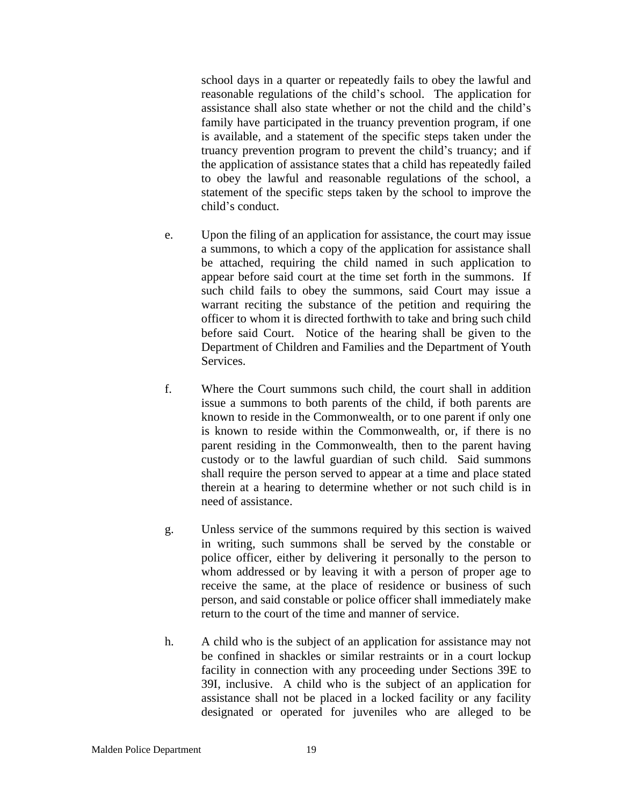school days in a quarter or repeatedly fails to obey the lawful and reasonable regulations of the child's school. The application for assistance shall also state whether or not the child and the child's family have participated in the truancy prevention program, if one is available, and a statement of the specific steps taken under the truancy prevention program to prevent the child's truancy; and if the application of assistance states that a child has repeatedly failed to obey the lawful and reasonable regulations of the school, a statement of the specific steps taken by the school to improve the child's conduct.

- e. Upon the filing of an application for assistance, the court may issue a summons, to which a copy of the application for assistance shall be attached, requiring the child named in such application to appear before said court at the time set forth in the summons. If such child fails to obey the summons, said Court may issue a warrant reciting the substance of the petition and requiring the officer to whom it is directed forthwith to take and bring such child before said Court. Notice of the hearing shall be given to the Department of Children and Families and the Department of Youth Services.
- f. Where the Court summons such child, the court shall in addition issue a summons to both parents of the child, if both parents are known to reside in the Commonwealth, or to one parent if only one is known to reside within the Commonwealth, or, if there is no parent residing in the Commonwealth, then to the parent having custody or to the lawful guardian of such child. Said summons shall require the person served to appear at a time and place stated therein at a hearing to determine whether or not such child is in need of assistance.
- g. Unless service of the summons required by this section is waived in writing, such summons shall be served by the constable or police officer, either by delivering it personally to the person to whom addressed or by leaving it with a person of proper age to receive the same, at the place of residence or business of such person, and said constable or police officer shall immediately make return to the court of the time and manner of service.
- h. A child who is the subject of an application for assistance may not be confined in shackles or similar restraints or in a court lockup facility in connection with any proceeding under Sections 39E to 39I, inclusive. A child who is the subject of an application for assistance shall not be placed in a locked facility or any facility designated or operated for juveniles who are alleged to be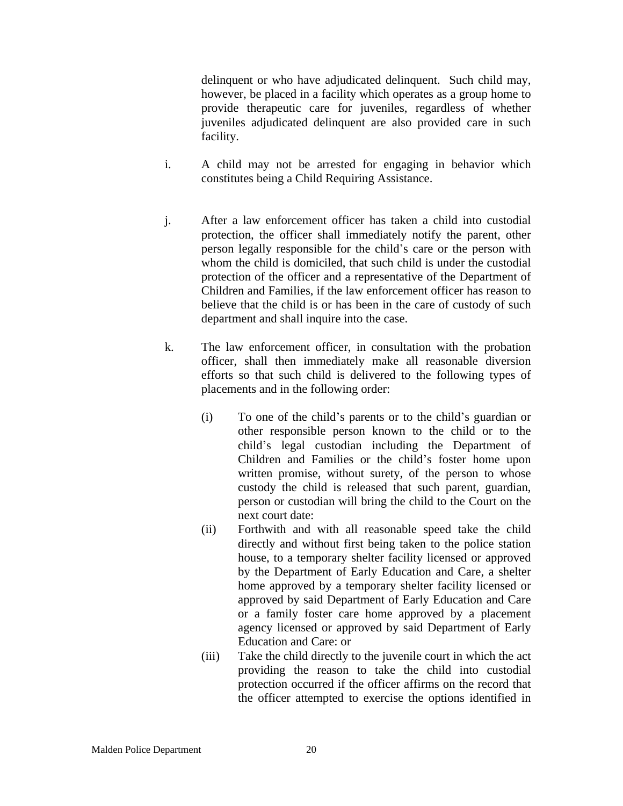delinquent or who have adjudicated delinquent. Such child may, however, be placed in a facility which operates as a group home to provide therapeutic care for juveniles, regardless of whether juveniles adjudicated delinquent are also provided care in such facility.

- i. A child may not be arrested for engaging in behavior which constitutes being a Child Requiring Assistance.
- j. After a law enforcement officer has taken a child into custodial protection, the officer shall immediately notify the parent, other person legally responsible for the child's care or the person with whom the child is domiciled, that such child is under the custodial protection of the officer and a representative of the Department of Children and Families, if the law enforcement officer has reason to believe that the child is or has been in the care of custody of such department and shall inquire into the case.
- k. The law enforcement officer, in consultation with the probation officer, shall then immediately make all reasonable diversion efforts so that such child is delivered to the following types of placements and in the following order:
	- (i) To one of the child's parents or to the child's guardian or other responsible person known to the child or to the child's legal custodian including the Department of Children and Families or the child's foster home upon written promise, without surety, of the person to whose custody the child is released that such parent, guardian, person or custodian will bring the child to the Court on the next court date:
	- (ii) Forthwith and with all reasonable speed take the child directly and without first being taken to the police station house, to a temporary shelter facility licensed or approved by the Department of Early Education and Care, a shelter home approved by a temporary shelter facility licensed or approved by said Department of Early Education and Care or a family foster care home approved by a placement agency licensed or approved by said Department of Early Education and Care: or
	- (iii) Take the child directly to the juvenile court in which the act providing the reason to take the child into custodial protection occurred if the officer affirms on the record that the officer attempted to exercise the options identified in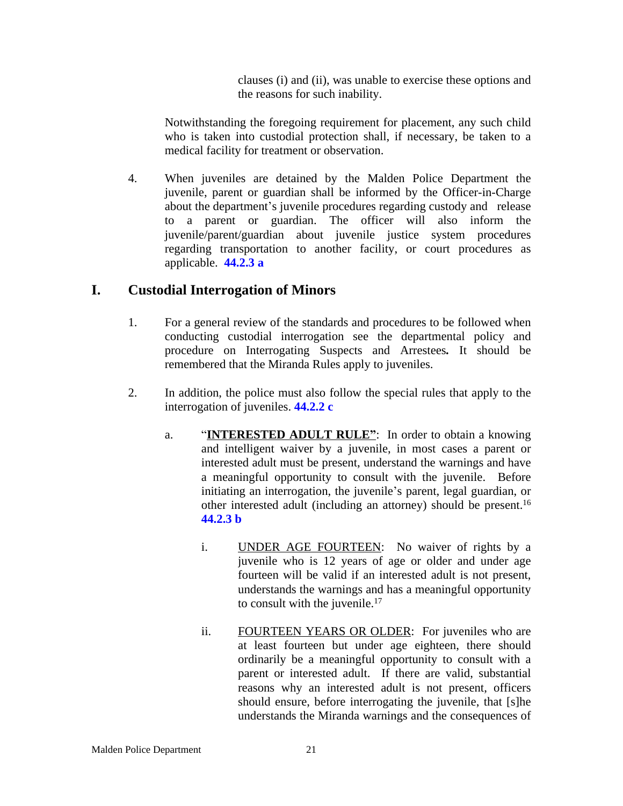clauses (i) and (ii), was unable to exercise these options and the reasons for such inability.

Notwithstanding the foregoing requirement for placement, any such child who is taken into custodial protection shall, if necessary, be taken to a medical facility for treatment or observation.

4. When juveniles are detained by the Malden Police Department the juvenile, parent or guardian shall be informed by the Officer-in-Charge about the department's juvenile procedures regarding custody and release to a parent or guardian. The officer will also inform the juvenile/parent/guardian about juvenile justice system procedures regarding transportation to another facility, or court procedures as applicable. **44.2.3 a**

### **I. Custodial Interrogation of Minors**

- 1. For a general review of the standards and procedures to be followed when conducting custodial interrogation see the departmental policy and procedure on [Interrogating](C:\\Users\\bkyes\\AppData\\Local\\Microsoft\\Windows\\Temporary Internet Files\\Content.Outlook\\PSMILQRU\\1.13 Interrogating Suspects & Arrestees.DOC) Suspect[s](C:\\Users\\bkyes\\AppData\\Local\\Microsoft\\Windows\\Temporary Internet Files\\Content.Outlook\\PSMILQRU\\1.13 Interrogating Suspects & Arrestees.DOC) and [Arrestees](C:\\Users\\bkyes\\AppData\\Local\\Microsoft\\Windows\\Temporary Internet Files\\Content.Outlook\\PSMILQRU\\1.13 Interrogating Suspects & Arrestees.DOC)*.* It should be remembered that the Miranda Rules apply to juveniles.
- 2. In addition, the police must also follow the special rules that apply to the interrogation of juveniles. **44.2.2 c**
	- a. "**INTERESTED ADULT RULE"**: In order to obtain a knowing and intelligent waiver by a juvenile, in most cases a parent or interested adult must be present, understand the warnings and have a meaningful opportunity to consult with the juvenile. Before initiating an interrogation, the juvenile's parent, legal guardian, or other interested adult (including an attorney) should be present.<sup>16</sup> **44.2.3 b**
		- i. UNDER AGE FOURTEEN: No waiver of rights by a juvenile who is 12 years of age or older and under age fourteen will be valid if an interested adult is not present, understands the warnings and has a meaningful opportunity to consult with the juvenile.<sup>17</sup>
		- ii. FOURTEEN YEARS OR OLDER: For juveniles who are at least fourteen but under age eighteen, there should ordinarily be a meaningful opportunity to consult with a parent or interested adult. If there are valid, substantial reasons why an interested adult is not present, officers should ensure, before interrogating the juvenile, that [s]he understands the Miranda warnings and the consequences of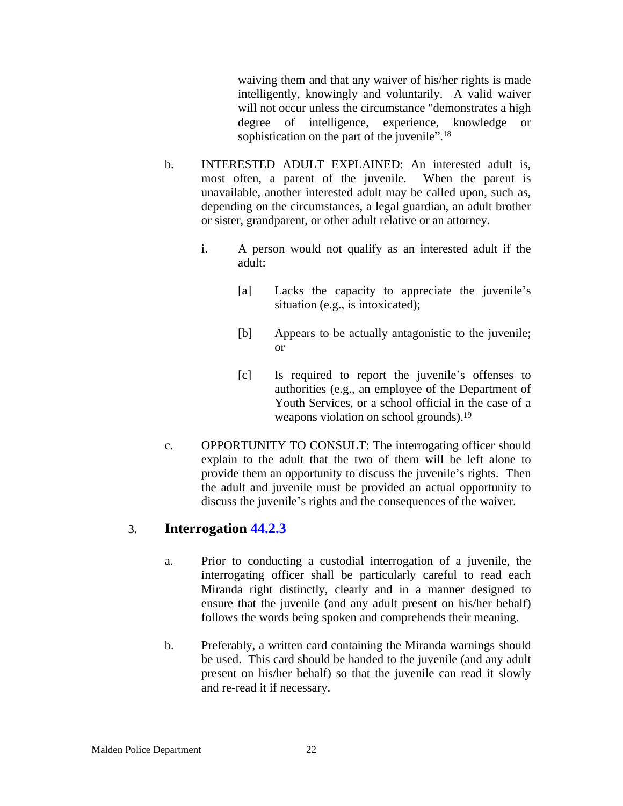waiving them and that any waiver of his/her rights is made intelligently, knowingly and voluntarily. A valid waiver will not occur unless the circumstance "demonstrates a high degree of intelligence, experience, knowledge or sophistication on the part of the juvenile".<sup>18</sup>

- b. INTERESTED ADULT EXPLAINED: An interested adult is, most often, a parent of the juvenile. When the parent is unavailable, another interested adult may be called upon, such as, depending on the circumstances, a legal guardian, an adult brother or sister, grandparent, or other adult relative or an attorney.
	- i. A person would not qualify as an interested adult if the adult:
		- [a] Lacks the capacity to appreciate the juvenile's situation (e.g., is intoxicated);
		- [b] Appears to be actually antagonistic to the juvenile; or
		- [c] Is required to report the juvenile's offenses to authorities (e.g., an employee of the Department of Youth Services, or a school official in the case of a weapons violation on school grounds).<sup>19</sup>
- c. OPPORTUNITY TO CONSULT: The interrogating officer should explain to the adult that the two of them will be left alone to provide them an opportunity to discuss the juvenile's rights. Then the adult and juvenile must be provided an actual opportunity to discuss the juvenile's rights and the consequences of the waiver.

### 3*.* **Interrogation 44.2.3**

- a. Prior to conducting a custodial interrogation of a juvenile, the interrogating officer shall be particularly careful to read each Miranda right distinctly, clearly and in a manner designed to ensure that the juvenile (and any adult present on his/her behalf) follows the words being spoken and comprehends their meaning.
- b. Preferably, a written card containing the Miranda warnings should be used. This card should be handed to the juvenile (and any adult present on his/her behalf) so that the juvenile can read it slowly and re-read it if necessary.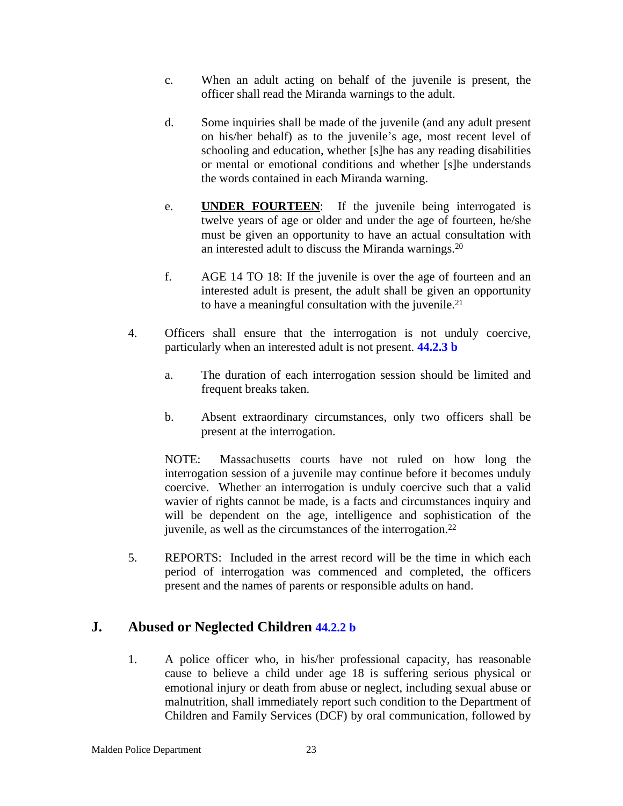- c. When an adult acting on behalf of the juvenile is present, the officer shall read the Miranda warnings to the adult.
- d. Some inquiries shall be made of the juvenile (and any adult present on his/her behalf) as to the juvenile's age, most recent level of schooling and education, whether [s]he has any reading disabilities or mental or emotional conditions and whether [s]he understands the words contained in each Miranda warning.
- e. **UNDER FOURTEEN**: If the juvenile being interrogated is twelve years of age or older and under the age of fourteen, he/she must be given an opportunity to have an actual consultation with an interested adult to discuss the Miranda warnings.<sup>20</sup>
- f. AGE 14 TO 18: If the juvenile is over the age of fourteen and an interested adult is present, the adult shall be given an opportunity to have a meaningful consultation with the juvenile.<sup>21</sup>
- 4. Officers shall ensure that the interrogation is not unduly coercive, particularly when an interested adult is not present. **44.2.3 b**
	- a. The duration of each interrogation session should be limited and frequent breaks taken.
	- b. Absent extraordinary circumstances, only two officers shall be present at the interrogation.

NOTE: Massachusetts courts have not ruled on how long the interrogation session of a juvenile may continue before it becomes unduly coercive. Whether an interrogation is unduly coercive such that a valid wavier of rights cannot be made, is a facts and circumstances inquiry and will be dependent on the age, intelligence and sophistication of the juvenile, as well as the circumstances of the interrogation.<sup>22</sup>

5. REPORTS: Included in the arrest record will be the time in which each period of interrogation was commenced and completed, the officers present and the names of parents or responsible adults on hand.

### **J. Abused or Neglected Children 44.2.2 b**

1. A police officer who, in his/her professional capacity, has reasonable cause to believe a child under age 18 is suffering serious physical or emotional injury or death from abuse or neglect, including sexual abuse or malnutrition, shall immediately report such condition to the Department of Children and Family Services (DCF) by oral communication, followed by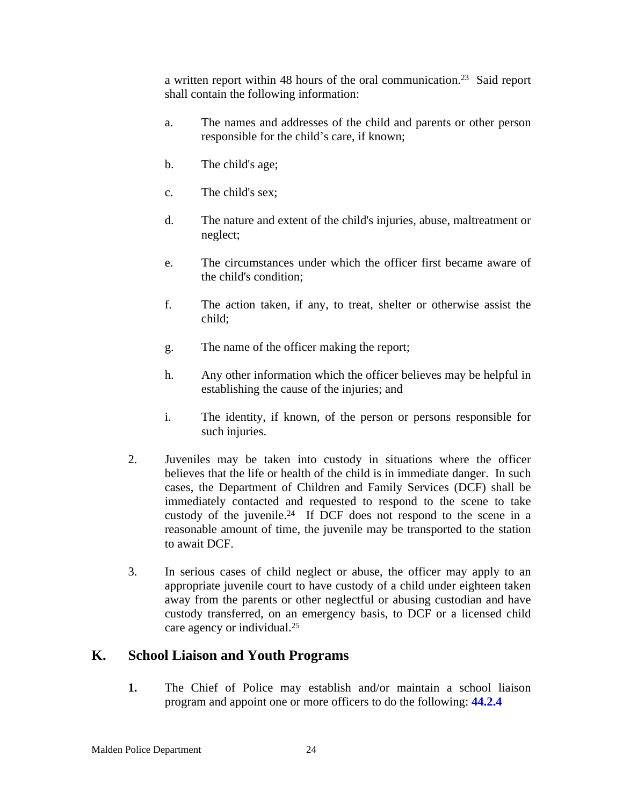a written report within 48 hours of the oral communication.<sup>23</sup> Said report shall contain the following information:

- a. The names and addresses of the child and parents or other person responsible for the child's care, if known;
- b. The child's age;
- c. The child's sex;
- d. The nature and extent of the child's injuries, abuse, maltreatment or neglect;
- e. The circumstances under which the officer first became aware of the child's condition;
- f. The action taken, if any, to treat, shelter or otherwise assist the child;
- g. The name of the officer making the report;
- h. Any other information which the officer believes may be helpful in establishing the cause of the injuries; and
- i. The identity, if known, of the person or persons responsible for such injuries.
- 2. Juveniles may be taken into custody in situations where the officer believes that the life or health of the child is in immediate danger. In such cases, the Department of Children and Family Services (DCF) shall be immediately contacted and requested to respond to the scene to take custody of the juvenile.<sup>24</sup> If DCF does not respond to the scene in a reasonable amount of time, the juvenile may be transported to the station to await DCF.
- 3. In serious cases of child neglect or abuse, the officer may apply to an appropriate juvenile court to have custody of a child under eighteen taken away from the parents or other neglectful or abusing custodian and have custody transferred, on an emergency basis, to DCF or a licensed child care agency or individual.<sup>25</sup>

### **K. School Liaison and Youth Programs**

**1.** The Chief of Police may establish and/or maintain a school liaison program and appoint one or more officers to do the following: **44.2.4**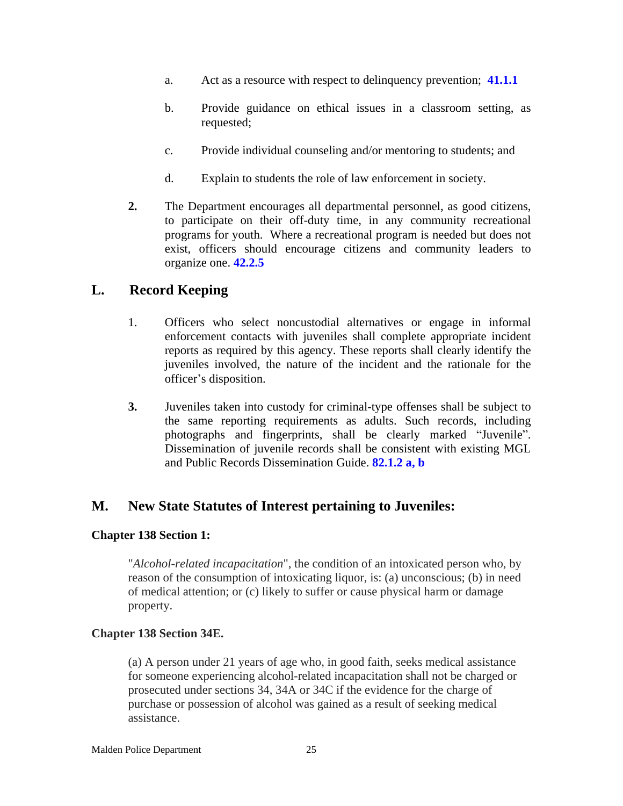- a. Act as a resource with respect to delinquency prevention; **41.1.1**
- b. Provide guidance on ethical issues in a classroom setting, as requested;
- c. Provide individual counseling and/or mentoring to students; and
- d. Explain to students the role of law enforcement in society.
- **2.** The Department encourages all departmental personnel, as good citizens, to participate on their off-duty time, in any community recreational programs for youth. Where a recreational program is needed but does not exist, officers should encourage citizens and community leaders to organize one. **42.2.5**

### **L. Record Keeping**

- 1. Officers who select noncustodial alternatives or engage in informal enforcement contacts with juveniles shall complete appropriate incident reports as required by this agency. These reports shall clearly identify the juveniles involved, the nature of the incident and the rationale for the officer's disposition.
- **3.** Juveniles taken into custody for criminal-type offenses shall be subject to the same reporting requirements as adults. Such records, including photographs and fingerprints, shall be clearly marked "Juvenile". Dissemination of juvenile records shall be consistent with existing MGL and Public Records Dissemination Guide. **82.1.2 a, b**

### **M. New State Statutes of Interest pertaining to Juveniles:**

#### **Chapter 138 Section 1:**

"*Alcohol-related incapacitation*", the condition of an intoxicated person who, by reason of the consumption of intoxicating liquor, is: (a) unconscious; (b) in need of medical attention; or (c) likely to suffer or cause physical harm or damage property.

#### **Chapter 138 Section 34E.**

(a) A person under 21 years of age who, in good faith, seeks medical assistance for someone experiencing alcohol-related incapacitation shall not be charged or prosecuted under sections 34, 34A or 34C if the evidence for the charge of purchase or possession of alcohol was gained as a result of seeking medical assistance.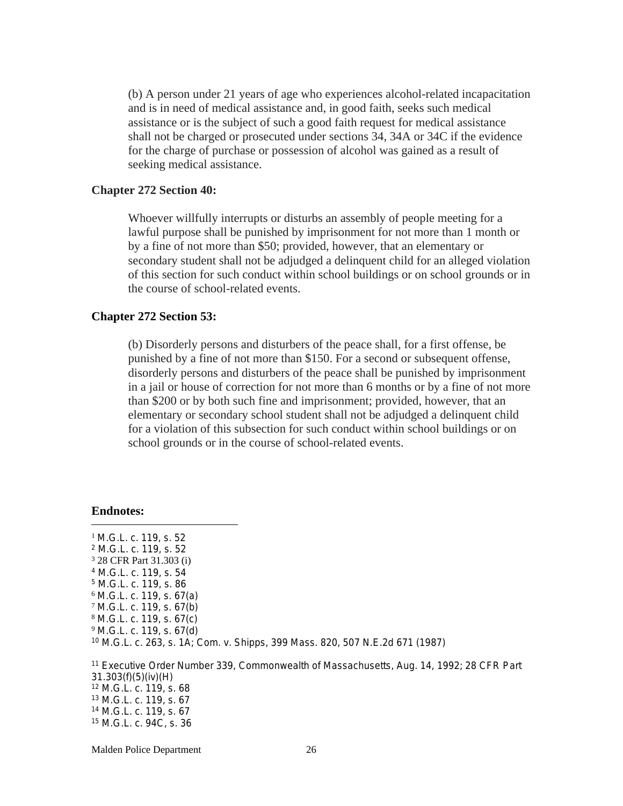(b) A person under 21 years of age who experiences alcohol-related incapacitation and is in need of medical assistance and, in good faith, seeks such medical assistance or is the subject of such a good faith request for medical assistance shall not be charged or prosecuted under sections 34, 34A or 34C if the evidence for the charge of purchase or possession of alcohol was gained as a result of seeking medical assistance.

#### **Chapter 272 Section 40:**

Whoever willfully interrupts or disturbs an assembly of people meeting for a lawful purpose shall be punished by imprisonment for not more than 1 month or by a fine of not more than \$50; provided, however, that an elementary or secondary student shall not be adjudged a delinquent child for an alleged violation of this section for such conduct within school buildings or on school grounds or in the course of school-related events.

#### **Chapter 272 Section 53:**

(b) Disorderly persons and disturbers of the peace shall, for a first offense, be punished by a fine of not more than \$150. For a second or subsequent offense, disorderly persons and disturbers of the peace shall be punished by imprisonment in a jail or house of correction for not more than 6 months or by a fine of not more than \$200 or by both such fine and imprisonment; provided, however, that an elementary or secondary school student shall not be adjudged a delinquent child for a violation of this subsection for such conduct within school buildings or on school grounds or in the course of school-related events.

#### **Endnotes:**

<sup>1</sup> M.G.L. c. 119, s. 52 M.G.L. c. 119, s. 52 28 CFR Part 31.303 (i) M.G.L. c. 119, s. 54 M.G.L. c. 119, s. 86 M.G.L. c. 119, s. 67(a) M.G.L. c. 119, s. 67(b) M.G.L. c. 119, s. 67(c) M.G.L. c. 119, s. 67(d) M.G.L. c. 263, s. 1A; *Com. v. Shipps,* 399 Mass. 820, 507 N.E.2d 671 (1987) Executive Order Number 339, Commonwealth of Massachusetts, Aug. 14, 1992; 28 CFR Part

31.303(f)(5)(iv)(H) M.G.L. c. 119, s. 68 M.G.L. c. 119, s. 67 M.G.L. c. 119, s. 67 M.G.L. c. 94C, s. 36

Malden Police Department 26